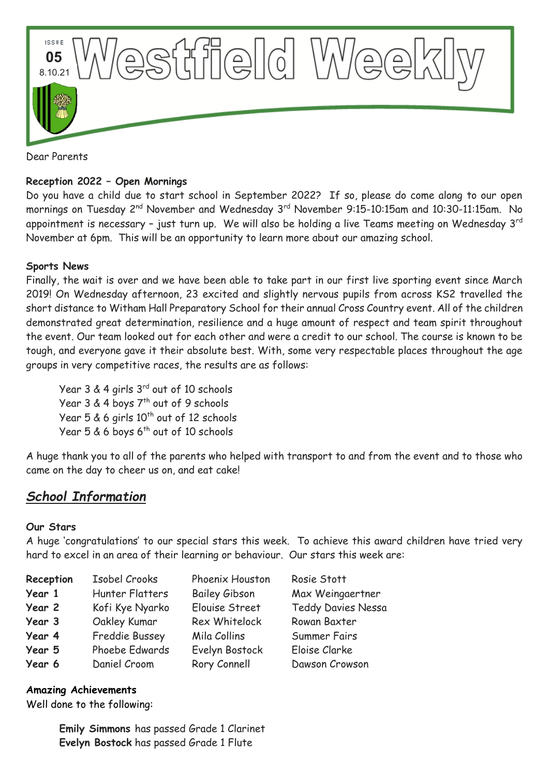

Dear Parents

## **Reception 2022 – Open Mornings**

Do you have a child due to start school in September 2022? If so, please do come along to our open mornings on Tuesday 2<sup>nd</sup> November and Wednesday 3<sup>rd</sup> November 9:15-10:15am and 10:30-11:15am. No appointment is necessary - just turn up. We will also be holding a live Teams meeting on Wednesday 3<sup>rd</sup> November at 6pm. This will be an opportunity to learn more about our amazing school.

### **Sports News**

Finally, the wait is over and we have been able to take part in our first live sporting event since March 2019! On Wednesday afternoon, 23 excited and slightly nervous pupils from across KS2 travelled the short distance to Witham Hall Preparatory School for their annual Cross Country event. All of the children demonstrated great determination, resilience and a huge amount of respect and team spirit throughout the event. Our team looked out for each other and were a credit to our school. The course is known to be tough, and everyone gave it their absolute best. With, some very respectable places throughout the age groups in very competitive races, the results are as follows:

Year 3 & 4 girls 3rd out of 10 schools Year 3 & 4 boys 7<sup>th</sup> out of 9 schools Year  $5 \& 6$  girls  $10^{th}$  out of 12 schools Year  $5 & 6$  boys  $6^{th}$  out of 10 schools

A huge thank you to all of the parents who helped with transport to and from the event and to those who came on the day to cheer us on, and eat cake!

## *School Information*

### **Our Stars**

A huge 'congratulations' to our special stars this week. To achieve this award children have tried very hard to excel in an area of their learning or behaviour. Our stars this week are:

| Reception | Isobel Crooks   | Phoenix Houston      | Rosie Stott               |
|-----------|-----------------|----------------------|---------------------------|
| Year 1    | Hunter Flatters | <b>Bailey Gibson</b> | Max Weingaertner          |
| Year 2    | Kofi Kye Nyarko | Elouise Street       | <b>Teddy Davies Nessa</b> |
| Year 3    | Oakley Kumar    | Rex Whitelock        | Rowan Baxter              |
| Year 4    | Freddie Bussey  | Mila Collins         | <b>Summer Fairs</b>       |
| Year 5    | Phoebe Edwards  | Evelyn Bostock       | Eloise Clarke             |
| Year 6    | Daniel Croom    | Rory Connell         | Dawson Crowson            |

#### **Amazing Achievements**

Well done to the following:

**Emily Simmons** has passed Grade 1 Clarinet **Evelyn Bostock** has passed Grade 1 Flute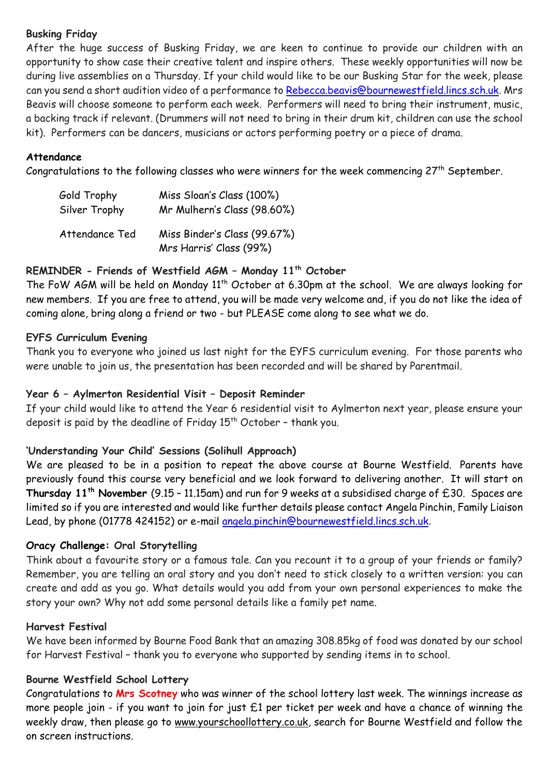## **Busking Friday**

After the huge success of Busking Friday, we are keen to continue to provide our children with an opportunity to show case their creative talent and inspire others. These weekly opportunities will now be during live assemblies on a Thursday. If your child would like to be our Busking Star for the week, please can you send a short audition video of a performance to [Rebecca.beavis@bournewestfield.lincs.sch.uk.](mailto:Rebecca.beavis@bournewestfield.lincs.sch.uk) Mrs Beavis will choose someone to perform each week. Performers will need to bring their instrument, music, a backing track if relevant. (Drummers will not need to bring in their drum kit, children can use the school kit). Performers can be dancers, musicians or actors performing poetry or a piece of drama.

#### **Attendance**

Congratulations to the following classes who were winners for the week commencing  $27<sup>th</sup>$  September.

| Gold Trophy    | Miss Sloan's Class (100%)                               |  |
|----------------|---------------------------------------------------------|--|
| Silver Trophy  | Mr Mulhern's Class (98.60%)                             |  |
| Attendance Ted | Miss Binder's Class (99.67%)<br>Mrs Harris' Class (99%) |  |

### **REMINDER - Friends of Westfield AGM – Monday 11th October**

The FoW AGM will be held on Monday  $11^{th}$  October at 6.30pm at the school. We are always looking for new members. If you are free to attend, you will be made very welcome and, if you do not like the idea of coming alone, bring along a friend or two - but PLEASE come along to see what we do.

### **EYFS Curriculum Evening**

Thank you to everyone who joined us last night for the EYFS curriculum evening. For those parents who were unable to join us, the presentation has been recorded and will be shared by Parentmail.

### **Year 6 – Aylmerton Residential Visit – Deposit Reminder**

If your child would like to attend the Year 6 residential visit to Aylmerton next year, please ensure your deposit is paid by the deadline of Friday 15<sup>th</sup> October - thank you.

### **'Understanding Your Child' Sessions (Solihull Approach)**

We are pleased to be in a position to repeat the above course at Bourne Westfield. Parents have previously found this course very beneficial and we look forward to delivering another. It will start on **Thursday 11th November** (9.15 – 11.15am) and run for 9 weeks at a subsidised charge of £30. Spaces are limited so if you are interested and would like further details please contact Angela Pinchin, Family Liaison Lead, by phone (01778 424152) or e-mail [angela.pinchin@bournewestfield.lincs.sch.uk](mailto:angela.pinchin@bournewestfield.lincs.sch.uk).

### **Oracy Challenge: Oral Storytelling**

Think about a favourite story or a famous tale. Can you recount it to a group of your friends or family? Remember, you are telling an oral story and you don't need to stick closely to a written version: you can create and add as you go. What details would you add from your own personal experiences to make the story your own? Why not add some personal details like a family pet name.

#### **Harvest Festival**

We have been informed by Bourne Food Bank that an amazing 308.85kg of food was donated by our school for Harvest Festival – thank you to everyone who supported by sending items in to school.

#### **Bourne Westfield School Lottery**

Congratulations to **Mrs Scotney** who was winner of the school lottery last week. The winnings increase as more people join - if you want to join for just £1 per ticket per week and have a chance of winning the weekly draw, then please go to [www.yourschoollottery.co.uk,](http://www.yourschoollottery.co.uk/) search for Bourne Westfield and follow the on screen instructions.